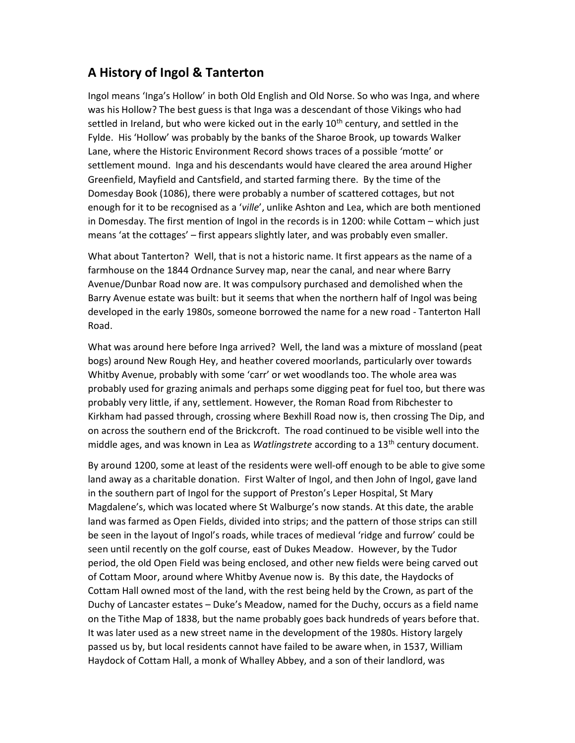## A History of Ingol & Tanterton

Ingol means 'Inga's Hollow' in both Old English and Old Norse. So who was Inga, and where was his Hollow? The best guess is that Inga was a descendant of those Vikings who had settled in Ireland, but who were kicked out in the early  $10<sup>th</sup>$  century, and settled in the Fylde. His 'Hollow' was probably by the banks of the Sharoe Brook, up towards Walker Lane, where the Historic Environment Record shows traces of a possible 'motte' or settlement mound. Inga and his descendants would have cleared the area around Higher Greenfield, Mayfield and Cantsfield, and started farming there. By the time of the Domesday Book (1086), there were probably a number of scattered cottages, but not enough for it to be recognised as a 'ville', unlike Ashton and Lea, which are both mentioned in Domesday. The first mention of Ingol in the records is in 1200: while Cottam – which just means 'at the cottages' – first appears slightly later, and was probably even smaller.

What about Tanterton? Well, that is not a historic name. It first appears as the name of a farmhouse on the 1844 Ordnance Survey map, near the canal, and near where Barry Avenue/Dunbar Road now are. It was compulsory purchased and demolished when the Barry Avenue estate was built: but it seems that when the northern half of Ingol was being developed in the early 1980s, someone borrowed the name for a new road - Tanterton Hall Road.

What was around here before Inga arrived? Well, the land was a mixture of mossland (peat bogs) around New Rough Hey, and heather covered moorlands, particularly over towards Whitby Avenue, probably with some 'carr' or wet woodlands too. The whole area was probably used for grazing animals and perhaps some digging peat for fuel too, but there was probably very little, if any, settlement. However, the Roman Road from Ribchester to Kirkham had passed through, crossing where Bexhill Road now is, then crossing The Dip, and on across the southern end of the Brickcroft. The road continued to be visible well into the middle ages, and was known in Lea as *Watlingstrete* according to a  $13<sup>th</sup>$  century document.

By around 1200, some at least of the residents were well-off enough to be able to give some land away as a charitable donation. First Walter of Ingol, and then John of Ingol, gave land in the southern part of Ingol for the support of Preston's Leper Hospital, St Mary Magdalene's, which was located where St Walburge's now stands. At this date, the arable land was farmed as Open Fields, divided into strips; and the pattern of those strips can still be seen in the layout of Ingol's roads, while traces of medieval 'ridge and furrow' could be seen until recently on the golf course, east of Dukes Meadow. However, by the Tudor period, the old Open Field was being enclosed, and other new fields were being carved out of Cottam Moor, around where Whitby Avenue now is. By this date, the Haydocks of Cottam Hall owned most of the land, with the rest being held by the Crown, as part of the Duchy of Lancaster estates – Duke's Meadow, named for the Duchy, occurs as a field name on the Tithe Map of 1838, but the name probably goes back hundreds of years before that. It was later used as a new street name in the development of the 1980s. History largely passed us by, but local residents cannot have failed to be aware when, in 1537, William Haydock of Cottam Hall, a monk of Whalley Abbey, and a son of their landlord, was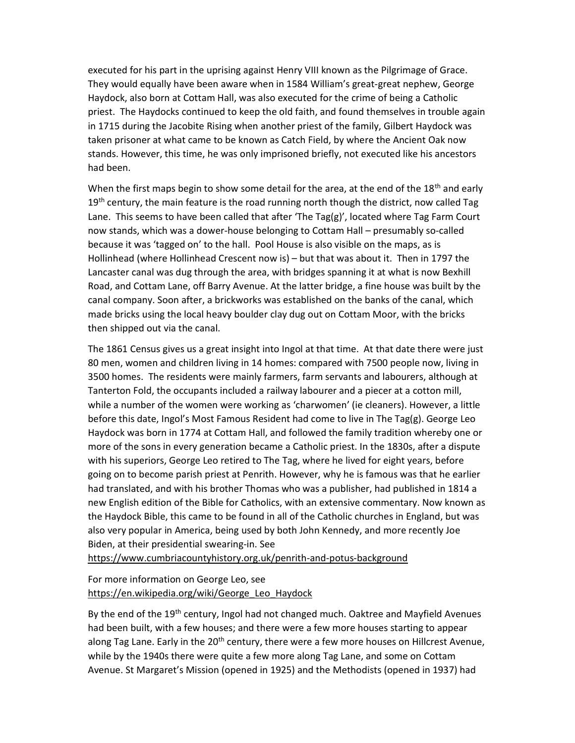executed for his part in the uprising against Henry VIII known as the Pilgrimage of Grace. They would equally have been aware when in 1584 William's great-great nephew, George Haydock, also born at Cottam Hall, was also executed for the crime of being a Catholic priest. The Haydocks continued to keep the old faith, and found themselves in trouble again in 1715 during the Jacobite Rising when another priest of the family, Gilbert Haydock was taken prisoner at what came to be known as Catch Field, by where the Ancient Oak now stands. However, this time, he was only imprisoned briefly, not executed like his ancestors had been.

When the first maps begin to show some detail for the area, at the end of the  $18<sup>th</sup>$  and early  $19<sup>th</sup>$  century, the main feature is the road running north though the district, now called Tag Lane. This seems to have been called that after 'The Tag(g)', located where Tag Farm Court now stands, which was a dower-house belonging to Cottam Hall – presumably so-called because it was 'tagged on' to the hall. Pool House is also visible on the maps, as is Hollinhead (where Hollinhead Crescent now is) – but that was about it. Then in 1797 the Lancaster canal was dug through the area, with bridges spanning it at what is now Bexhill Road, and Cottam Lane, off Barry Avenue. At the latter bridge, a fine house was built by the canal company. Soon after, a brickworks was established on the banks of the canal, which made bricks using the local heavy boulder clay dug out on Cottam Moor, with the bricks then shipped out via the canal.

The 1861 Census gives us a great insight into Ingol at that time. At that date there were just 80 men, women and children living in 14 homes: compared with 7500 people now, living in 3500 homes. The residents were mainly farmers, farm servants and labourers, although at Tanterton Fold, the occupants included a railway labourer and a piecer at a cotton mill, while a number of the women were working as 'charwomen' (ie cleaners). However, a little before this date, Ingol's Most Famous Resident had come to live in The Tag(g). George Leo Haydock was born in 1774 at Cottam Hall, and followed the family tradition whereby one or more of the sons in every generation became a Catholic priest. In the 1830s, after a dispute with his superiors, George Leo retired to The Tag, where he lived for eight years, before going on to become parish priest at Penrith. However, why he is famous was that he earlier had translated, and with his brother Thomas who was a publisher, had published in 1814 a new English edition of the Bible for Catholics, with an extensive commentary. Now known as the Haydock Bible, this came to be found in all of the Catholic churches in England, but was also very popular in America, being used by both John Kennedy, and more recently Joe Biden, at their presidential swearing-in. See

https://www.cumbriacountyhistory.org.uk/penrith-and-potus-background

For more information on George Leo, see https://en.wikipedia.org/wiki/George\_Leo\_Haydock

By the end of the 19<sup>th</sup> century, Ingol had not changed much. Oaktree and Mayfield Avenues had been built, with a few houses; and there were a few more houses starting to appear along Tag Lane. Early in the  $20<sup>th</sup>$  century, there were a few more houses on Hillcrest Avenue, while by the 1940s there were quite a few more along Tag Lane, and some on Cottam Avenue. St Margaret's Mission (opened in 1925) and the Methodists (opened in 1937) had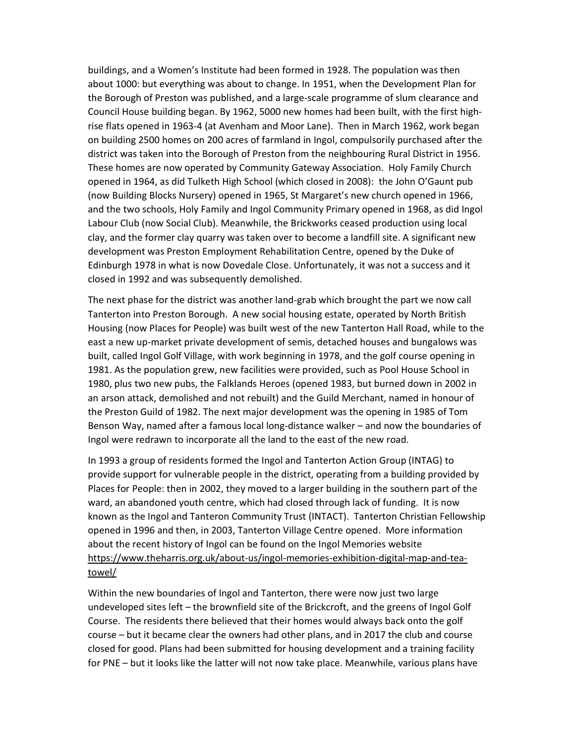buildings, and a Women's Institute had been formed in 1928. The population was then about 1000: but everything was about to change. In 1951, when the Development Plan for the Borough of Preston was published, and a large-scale programme of slum clearance and Council House building began. By 1962, 5000 new homes had been built, with the first highrise flats opened in 1963-4 (at Avenham and Moor Lane). Then in March 1962, work began on building 2500 homes on 200 acres of farmland in Ingol, compulsorily purchased after the district was taken into the Borough of Preston from the neighbouring Rural District in 1956. These homes are now operated by Community Gateway Association. Holy Family Church opened in 1964, as did Tulketh High School (which closed in 2008): the John O'Gaunt pub (now Building Blocks Nursery) opened in 1965, St Margaret's new church opened in 1966, and the two schools, Holy Family and Ingol Community Primary opened in 1968, as did Ingol Labour Club (now Social Club). Meanwhile, the Brickworks ceased production using local clay, and the former clay quarry was taken over to become a landfill site. A significant new development was Preston Employment Rehabilitation Centre, opened by the Duke of Edinburgh 1978 in what is now Dovedale Close. Unfortunately, it was not a success and it closed in 1992 and was subsequently demolished.

The next phase for the district was another land-grab which brought the part we now call Tanterton into Preston Borough. A new social housing estate, operated by North British Housing (now Places for People) was built west of the new Tanterton Hall Road, while to the east a new up-market private development of semis, detached houses and bungalows was built, called Ingol Golf Village, with work beginning in 1978, and the golf course opening in 1981. As the population grew, new facilities were provided, such as Pool House School in 1980, plus two new pubs, the Falklands Heroes (opened 1983, but burned down in 2002 in an arson attack, demolished and not rebuilt) and the Guild Merchant, named in honour of the Preston Guild of 1982. The next major development was the opening in 1985 of Tom Benson Way, named after a famous local long-distance walker – and now the boundaries of Ingol were redrawn to incorporate all the land to the east of the new road.

In 1993 a group of residents formed the Ingol and Tanterton Action Group (INTAG) to provide support for vulnerable people in the district, operating from a building provided by Places for People: then in 2002, they moved to a larger building in the southern part of the ward, an abandoned youth centre, which had closed through lack of funding. It is now known as the Ingol and Tanteron Community Trust (INTACT). Tanterton Christian Fellowship opened in 1996 and then, in 2003, Tanterton Village Centre opened. More information about the recent history of Ingol can be found on the Ingol Memories website https://www.theharris.org.uk/about-us/ingol-memories-exhibition-digital-map-and-teatowel/

Within the new boundaries of Ingol and Tanterton, there were now just two large undeveloped sites left – the brownfield site of the Brickcroft, and the greens of Ingol Golf Course. The residents there believed that their homes would always back onto the golf course – but it became clear the owners had other plans, and in 2017 the club and course closed for good. Plans had been submitted for housing development and a training facility for PNE – but it looks like the latter will not now take place. Meanwhile, various plans have